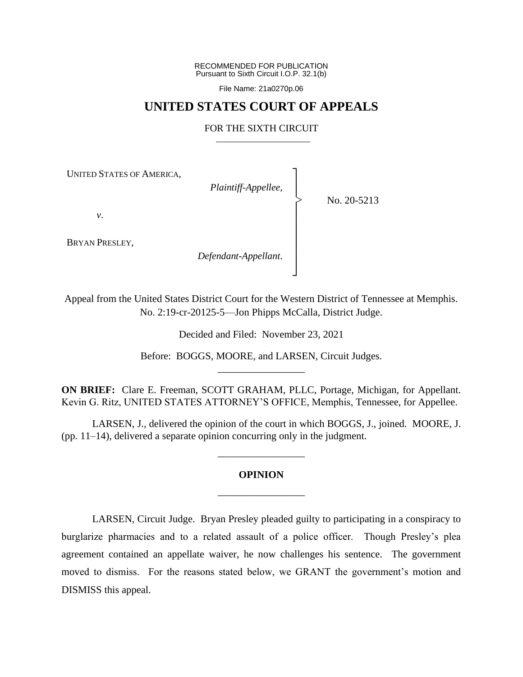RECOMMENDED FOR PUBLICATION Pursuant to Sixth Circuit I.O.P. 32.1(b)

File Name: 21a0270p.06

### **UNITED STATES COURT OF APPEALS**

### FOR THE SIXTH CIRCUIT

┐ │ │ │ │ │ │ │ │ ┘

|<br>|<br>|

UNITED STATES OF AMERICA,

*Plaintiff-Appellee*,

No. 20-5213

*v*.

BRYAN PRESLEY,

*Defendant-Appellant*.

Appeal from the United States District Court for the Western District of Tennessee at Memphis. No. 2:19-cr-20125-5—Jon Phipps McCalla, District Judge.

Decided and Filed: November 23, 2021

Before: BOGGS, MOORE, and LARSEN, Circuit Judges. \_\_\_\_\_\_\_\_\_\_\_\_\_\_\_\_\_

**ON BRIEF:** Clare E. Freeman, SCOTT GRAHAM, PLLC, Portage, Michigan, for Appellant. Kevin G. Ritz, UNITED STATES ATTORNEY'S OFFICE, Memphis, Tennessee, for Appellee.

LARSEN, J., delivered the opinion of the court in which BOGGS, J., joined. MOORE, J. (pp. 11–14), delivered a separate opinion concurring only in the judgment.

# **OPINION** \_\_\_\_\_\_\_\_\_\_\_\_\_\_\_\_\_

\_\_\_\_\_\_\_\_\_\_\_\_\_\_\_\_\_

LARSEN, Circuit Judge. Bryan Presley pleaded guilty to participating in a conspiracy to burglarize pharmacies and to a related assault of a police officer. Though Presley's plea agreement contained an appellate waiver, he now challenges his sentence. The government moved to dismiss. For the reasons stated below, we GRANT the government's motion and DISMISS this appeal.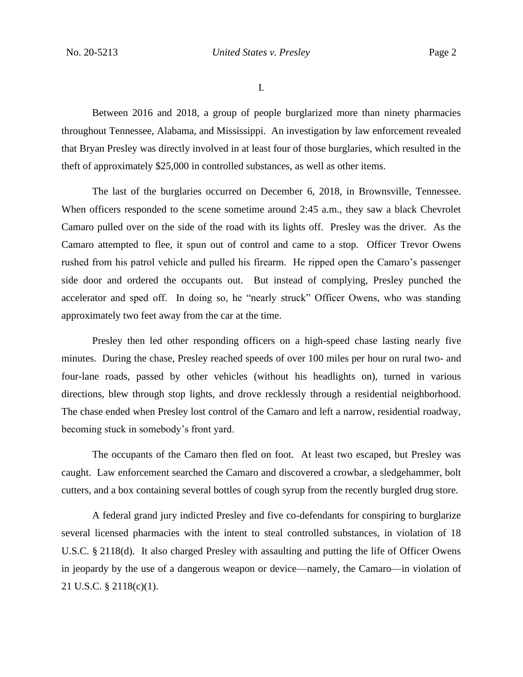I.

Between 2016 and 2018, a group of people burglarized more than ninety pharmacies throughout Tennessee, Alabama, and Mississippi. An investigation by law enforcement revealed that Bryan Presley was directly involved in at least four of those burglaries, which resulted in the theft of approximately \$25,000 in controlled substances, as well as other items.

The last of the burglaries occurred on December 6, 2018, in Brownsville, Tennessee. When officers responded to the scene sometime around 2:45 a.m., they saw a black Chevrolet Camaro pulled over on the side of the road with its lights off. Presley was the driver. As the Camaro attempted to flee, it spun out of control and came to a stop. Officer Trevor Owens rushed from his patrol vehicle and pulled his firearm. He ripped open the Camaro's passenger side door and ordered the occupants out. But instead of complying, Presley punched the accelerator and sped off. In doing so, he "nearly struck" Officer Owens, who was standing approximately two feet away from the car at the time.

Presley then led other responding officers on a high-speed chase lasting nearly five minutes. During the chase, Presley reached speeds of over 100 miles per hour on rural two- and four-lane roads, passed by other vehicles (without his headlights on), turned in various directions, blew through stop lights, and drove recklessly through a residential neighborhood. The chase ended when Presley lost control of the Camaro and left a narrow, residential roadway, becoming stuck in somebody's front yard.

The occupants of the Camaro then fled on foot. At least two escaped, but Presley was caught. Law enforcement searched the Camaro and discovered a crowbar, a sledgehammer, bolt cutters, and a box containing several bottles of cough syrup from the recently burgled drug store.

A federal grand jury indicted Presley and five co-defendants for conspiring to burglarize several licensed pharmacies with the intent to steal controlled substances, in violation of 18 U.S.C. § 2118(d). It also charged Presley with assaulting and putting the life of Officer Owens in jeopardy by the use of a dangerous weapon or device—namely, the Camaro—in violation of 21 U.S.C. § 2118(c)(1).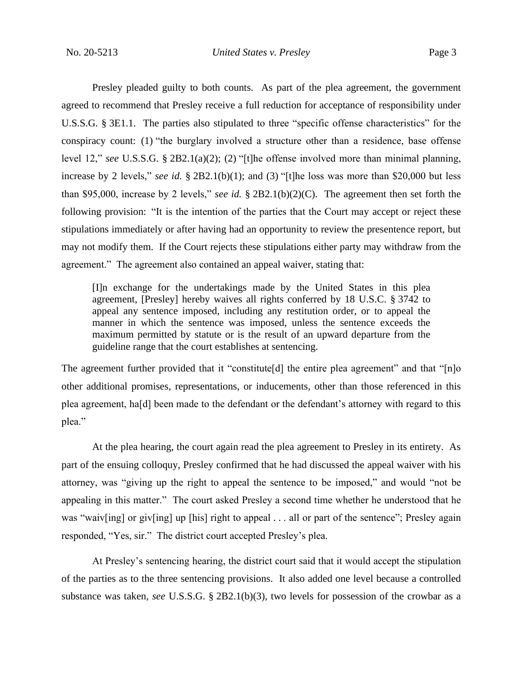Presley pleaded guilty to both counts. As part of the plea agreement, the government agreed to recommend that Presley receive a full reduction for acceptance of responsibility under U.S.S.G. § 3E1.1. The parties also stipulated to three "specific offense characteristics" for the conspiracy count: (1) "the burglary involved a structure other than a residence, base offense level 12," *see* U.S.S.G. § 2B2.1(a)(2); (2) "[t]he offense involved more than minimal planning, increase by 2 levels," *see id.* § 2B2.1(b)(1); and (3) "[t]he loss was more than \$20,000 but less than \$95,000, increase by 2 levels," *see id.* § 2B2.1(b)(2)(C). The agreement then set forth the following provision: "It is the intention of the parties that the Court may accept or reject these stipulations immediately or after having had an opportunity to review the presentence report, but may not modify them. If the Court rejects these stipulations either party may withdraw from the agreement." The agreement also contained an appeal waiver, stating that:

[I]n exchange for the undertakings made by the United States in this plea agreement, [Presley] hereby waives all rights conferred by 18 U.S.C. § 3742 to appeal any sentence imposed, including any restitution order, or to appeal the manner in which the sentence was imposed, unless the sentence exceeds the maximum permitted by statute or is the result of an upward departure from the guideline range that the court establishes at sentencing.

The agreement further provided that it "constitute[d] the entire plea agreement" and that "[n]o other additional promises, representations, or inducements, other than those referenced in this plea agreement, ha[d] been made to the defendant or the defendant's attorney with regard to this plea."

At the plea hearing, the court again read the plea agreement to Presley in its entirety. As part of the ensuing colloquy, Presley confirmed that he had discussed the appeal waiver with his attorney, was "giving up the right to appeal the sentence to be imposed," and would "not be appealing in this matter." The court asked Presley a second time whether he understood that he was "waiv[ing] or giv[ing] up [his] right to appeal . . . all or part of the sentence"; Presley again responded, "Yes, sir." The district court accepted Presley's plea.

At Presley's sentencing hearing, the district court said that it would accept the stipulation of the parties as to the three sentencing provisions. It also added one level because a controlled substance was taken, *see* U.S.S.G. § 2B2.1(b)(3), two levels for possession of the crowbar as a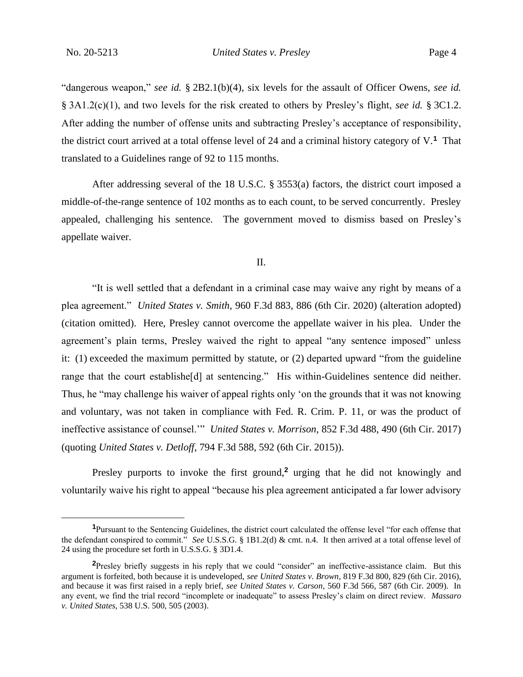"dangerous weapon," *see id.* § 2B2.1(b)(4), six levels for the assault of Officer Owens, *see id.*  § 3A1.2(c)(1), and two levels for the risk created to others by Presley's flight, *see id.* § 3C1.2. After adding the number of offense units and subtracting Presley's acceptance of responsibility, the district court arrived at a total offense level of 24 and a criminal history category of V.**<sup>1</sup>** That translated to a Guidelines range of 92 to 115 months.

After addressing several of the 18 U.S.C. § 3553(a) factors, the district court imposed a middle-of-the-range sentence of 102 months as to each count, to be served concurrently. Presley appealed, challenging his sentence. The government moved to dismiss based on Presley's appellate waiver.

II.

"It is well settled that a defendant in a criminal case may waive any right by means of a plea agreement." *United States v. Smith*, 960 F.3d 883, 886 (6th Cir. 2020) (alteration adopted) (citation omitted). Here, Presley cannot overcome the appellate waiver in his plea. Under the agreement's plain terms, Presley waived the right to appeal "any sentence imposed" unless it: (1) exceeded the maximum permitted by statute, or (2) departed upward "from the guideline range that the court establishe[d] at sentencing." His within-Guidelines sentence did neither. Thus, he "may challenge his waiver of appeal rights only 'on the grounds that it was not knowing and voluntary, was not taken in compliance with Fed. R. Crim. P. 11, or was the product of ineffective assistance of counsel.'" *United States v. Morrison*, 852 F.3d 488, 490 (6th Cir. 2017) (quoting *United States v. Detloff*, 794 F.3d 588, 592 (6th Cir. 2015)).

Presley purports to invoke the first ground,**<sup>2</sup>** urging that he did not knowingly and voluntarily waive his right to appeal "because his plea agreement anticipated a far lower advisory

**<sup>1</sup>**Pursuant to the Sentencing Guidelines, the district court calculated the offense level "for each offense that the defendant conspired to commit." *See* U.S.S.G. § 1B1.2(d) & cmt. n.4. It then arrived at a total offense level of 24 using the procedure set forth in U.S.S.G. § 3D1.4.

**<sup>2</sup>**Presley briefly suggests in his reply that we could "consider" an ineffective-assistance claim. But this argument is forfeited, both because it is undeveloped, *see United States v. Brown*, 819 F.3d 800, 829 (6th Cir. 2016), and because it was first raised in a reply brief, *see United States v. Carson*, 560 F.3d 566, 587 (6th Cir. 2009). In any event, we find the trial record "incomplete or inadequate" to assess Presley's claim on direct review. *Massaro v. United States*, 538 U.S. 500, 505 (2003).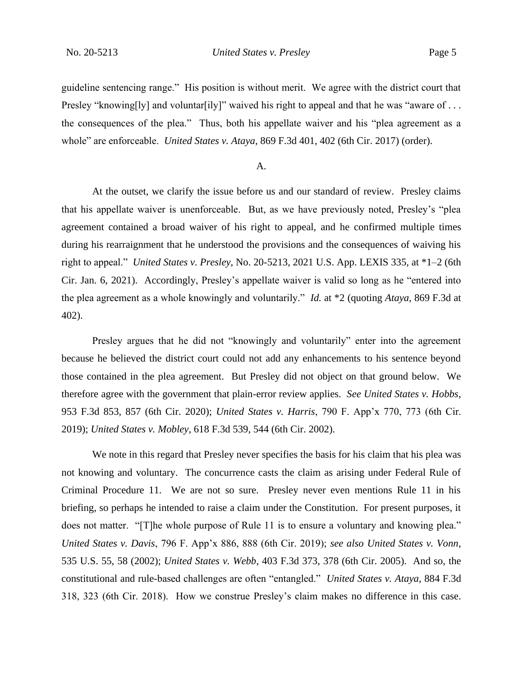guideline sentencing range." His position is without merit. We agree with the district court that Presley "knowing[ly] and voluntar[ily]" waived his right to appeal and that he was "aware of ... the consequences of the plea." Thus, both his appellate waiver and his "plea agreement as a whole" are enforceable. *United States v. Ataya*, 869 F.3d 401, 402 (6th Cir. 2017) (order).

#### A.

At the outset, we clarify the issue before us and our standard of review. Presley claims that his appellate waiver is unenforceable. But, as we have previously noted, Presley's "plea agreement contained a broad waiver of his right to appeal, and he confirmed multiple times during his rearraignment that he understood the provisions and the consequences of waiving his right to appeal." *United States v. Presley*, No. 20-5213, 2021 U.S. App. LEXIS 335, at \*1–2 (6th Cir. Jan. 6, 2021). Accordingly, Presley's appellate waiver is valid so long as he "entered into the plea agreement as a whole knowingly and voluntarily." *Id.* at \*2 (quoting *Ataya*, 869 F.3d at 402).

Presley argues that he did not "knowingly and voluntarily" enter into the agreement because he believed the district court could not add any enhancements to his sentence beyond those contained in the plea agreement. But Presley did not object on that ground below. We therefore agree with the government that plain-error review applies. *See United States v. Hobbs*, 953 F.3d 853, 857 (6th Cir. 2020); *United States v. Harris*, 790 F. App'x 770, 773 (6th Cir. 2019); *United States v. Mobley*, 618 F.3d 539, 544 (6th Cir. 2002).

We note in this regard that Presley never specifies the basis for his claim that his plea was not knowing and voluntary. The concurrence casts the claim as arising under Federal Rule of Criminal Procedure 11. We are not so sure. Presley never even mentions Rule 11 in his briefing, so perhaps he intended to raise a claim under the Constitution. For present purposes, it does not matter. "[T]he whole purpose of Rule 11 is to ensure a voluntary and knowing plea." *United States v. Davis*, 796 F. App'x 886, 888 (6th Cir. 2019); *see also United States v. Vonn*, 535 U.S. 55, 58 (2002); *United States v. Webb*, 403 F.3d 373, 378 (6th Cir. 2005). And so, the constitutional and rule-based challenges are often "entangled." *United States v. Ataya*, 884 F.3d 318, 323 (6th Cir. 2018). How we construe Presley's claim makes no difference in this case.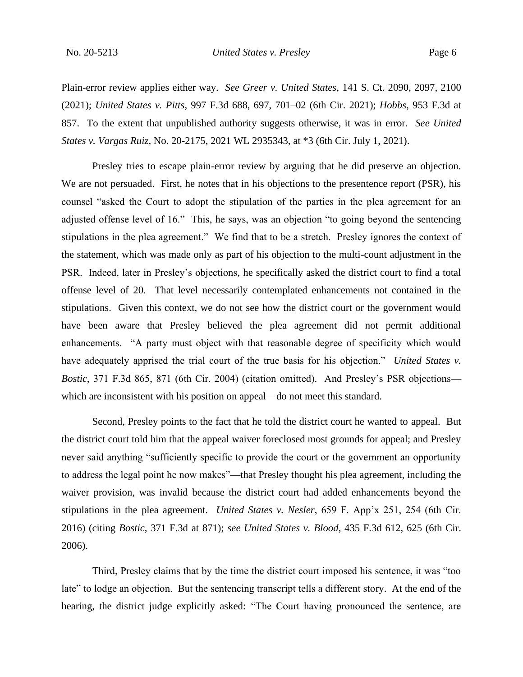Plain-error review applies either way. *See Greer v. United States*, 141 S. Ct. 2090, 2097, 2100 (2021); *United States v. Pitts*, 997 F.3d 688, 697, 701–02 (6th Cir. 2021); *Hobbs*, 953 F.3d at 857. To the extent that unpublished authority suggests otherwise, it was in error. *See United States v. Vargas Ruiz*, No. 20-2175, 2021 WL 2935343, at \*3 (6th Cir. July 1, 2021).

Presley tries to escape plain-error review by arguing that he did preserve an objection. We are not persuaded. First, he notes that in his objections to the presentence report (PSR), his counsel "asked the Court to adopt the stipulation of the parties in the plea agreement for an adjusted offense level of 16." This, he says, was an objection "to going beyond the sentencing stipulations in the plea agreement." We find that to be a stretch. Presley ignores the context of the statement, which was made only as part of his objection to the multi-count adjustment in the PSR. Indeed, later in Presley's objections, he specifically asked the district court to find a total offense level of 20. That level necessarily contemplated enhancements not contained in the stipulations. Given this context, we do not see how the district court or the government would have been aware that Presley believed the plea agreement did not permit additional enhancements. "A party must object with that reasonable degree of specificity which would have adequately apprised the trial court of the true basis for his objection." *United States v. Bostic*, 371 F.3d 865, 871 (6th Cir. 2004) (citation omitted). And Presley's PSR objections which are inconsistent with his position on appeal—do not meet this standard.

Second, Presley points to the fact that he told the district court he wanted to appeal. But the district court told him that the appeal waiver foreclosed most grounds for appeal; and Presley never said anything "sufficiently specific to provide the court or the government an opportunity to address the legal point he now makes"—that Presley thought his plea agreement, including the waiver provision, was invalid because the district court had added enhancements beyond the stipulations in the plea agreement. *United States v. Nesler*, 659 F. App'x 251, 254 (6th Cir. 2016) (citing *Bostic*, 371 F.3d at 871); *see United States v. Blood*, 435 F.3d 612, 625 (6th Cir. 2006).

Third, Presley claims that by the time the district court imposed his sentence, it was "too late" to lodge an objection. But the sentencing transcript tells a different story. At the end of the hearing, the district judge explicitly asked: "The Court having pronounced the sentence, are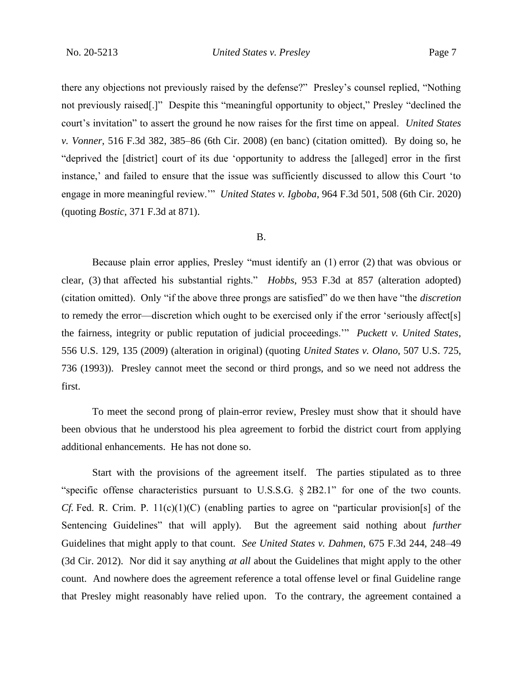there any objections not previously raised by the defense?" Presley's counsel replied, "Nothing not previously raised[.]" Despite this "meaningful opportunity to object," Presley "declined the court's invitation" to assert the ground he now raises for the first time on appeal. *United States v. Vonner*, 516 F.3d 382, 385–86 (6th Cir. 2008) (en banc) (citation omitted). By doing so, he "deprived the [district] court of its due 'opportunity to address the [alleged] error in the first instance,' and failed to ensure that the issue was sufficiently discussed to allow this Court 'to engage in more meaningful review.'" *United States v. Igboba*, 964 F.3d 501, 508 (6th Cir. 2020) (quoting *Bostic*, 371 F.3d at 871).

#### B.

Because plain error applies, Presley "must identify an (1) error (2) that was obvious or clear, (3) that affected his substantial rights." *Hobbs*, 953 F.3d at 857 (alteration adopted) (citation omitted). Only "if the above three prongs are satisfied" do we then have "the *discretion* to remedy the error—discretion which ought to be exercised only if the error 'seriously affect[s] the fairness, integrity or public reputation of judicial proceedings.'" *Puckett v. United States*, 556 U.S. 129, 135 (2009) (alteration in original) (quoting *United States v. Olano*, 507 U.S. 725, 736 (1993)). Presley cannot meet the second or third prongs, and so we need not address the first.

To meet the second prong of plain-error review, Presley must show that it should have been obvious that he understood his plea agreement to forbid the district court from applying additional enhancements. He has not done so.

Start with the provisions of the agreement itself. The parties stipulated as to three "specific offense characteristics pursuant to U.S.S.G. § 2B2.1" for one of the two counts. *Cf.* Fed. R. Crim. P.  $11(c)(1)(C)$  (enabling parties to agree on "particular provision[s] of the Sentencing Guidelines" that will apply). But the agreement said nothing about *further*  Guidelines that might apply to that count. *See United States v. Dahmen*, 675 F.3d 244, 248–49 (3d Cir. 2012). Nor did it say anything *at all* about the Guidelines that might apply to the other count. And nowhere does the agreement reference a total offense level or final Guideline range that Presley might reasonably have relied upon. To the contrary, the agreement contained a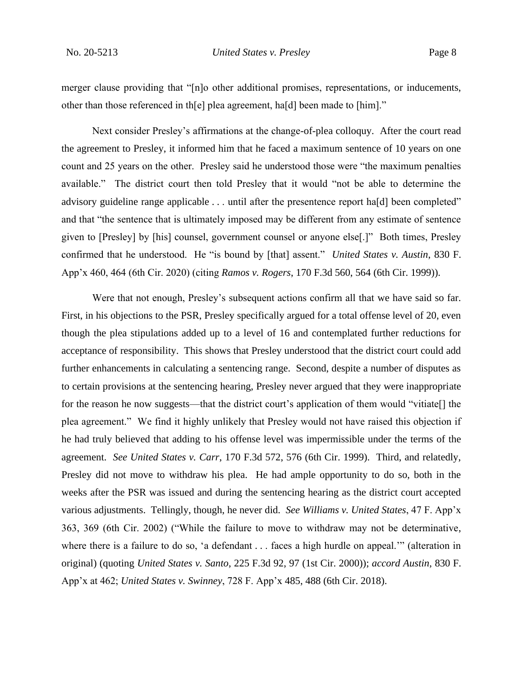merger clause providing that "[n]o other additional promises, representations, or inducements, other than those referenced in th[e] plea agreement, ha[d] been made to [him]."

Next consider Presley's affirmations at the change-of-plea colloquy. After the court read the agreement to Presley, it informed him that he faced a maximum sentence of 10 years on one count and 25 years on the other. Presley said he understood those were "the maximum penalties available." The district court then told Presley that it would "not be able to determine the advisory guideline range applicable . . . until after the presentence report ha[d] been completed" and that "the sentence that is ultimately imposed may be different from any estimate of sentence given to [Presley] by [his] counsel, government counsel or anyone else[.]" Both times, Presley confirmed that he understood. He "is bound by [that] assent." *United States v. Austin*, 830 F. App'x 460, 464 (6th Cir. 2020) (citing *Ramos v. Rogers*, 170 F.3d 560, 564 (6th Cir. 1999)).

Were that not enough, Presley's subsequent actions confirm all that we have said so far. First, in his objections to the PSR, Presley specifically argued for a total offense level of 20, even though the plea stipulations added up to a level of 16 and contemplated further reductions for acceptance of responsibility. This shows that Presley understood that the district court could add further enhancements in calculating a sentencing range. Second, despite a number of disputes as to certain provisions at the sentencing hearing, Presley never argued that they were inappropriate for the reason he now suggests—that the district court's application of them would "vitiate<sup>[]</sup> the plea agreement." We find it highly unlikely that Presley would not have raised this objection if he had truly believed that adding to his offense level was impermissible under the terms of the agreement. *See United States v. Carr*, 170 F.3d 572, 576 (6th Cir. 1999). Third, and relatedly, Presley did not move to withdraw his plea. He had ample opportunity to do so, both in the weeks after the PSR was issued and during the sentencing hearing as the district court accepted various adjustments. Tellingly, though, he never did. *See Williams v. United States*, 47 F. App'x 363, 369 (6th Cir. 2002) ("While the failure to move to withdraw may not be determinative, where there is a failure to do so, 'a defendant . . . faces a high hurdle on appeal.'" (alteration in original) (quoting *United States v. Santo*, 225 F.3d 92, 97 (1st Cir. 2000)); *accord Austin*, 830 F. App'x at 462; *United States v. Swinney*, 728 F. App'x 485, 488 (6th Cir. 2018).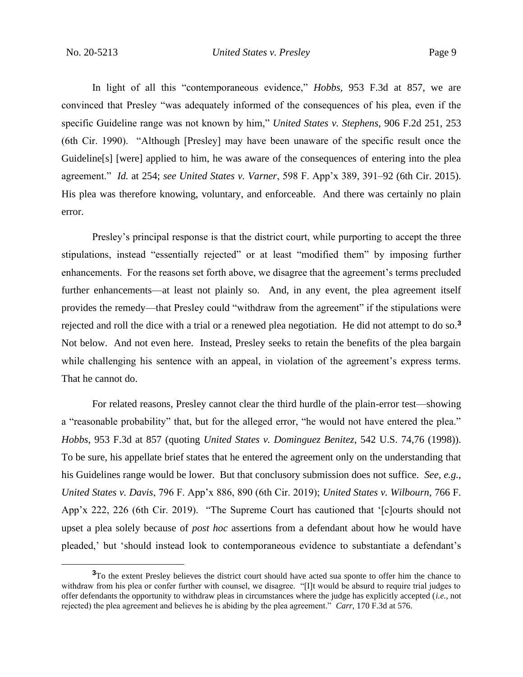In light of all this "contemporaneous evidence," *Hobbs*, 953 F.3d at 857, we are convinced that Presley "was adequately informed of the consequences of his plea, even if the specific Guideline range was not known by him," *United States v. Stephens*, 906 F.2d 251, 253 (6th Cir. 1990). "Although [Presley] may have been unaware of the specific result once the Guideline[s] [were] applied to him, he was aware of the consequences of entering into the plea agreement." *Id.* at 254; *see United States v. Varner*, 598 F. App'x 389, 391–92 (6th Cir. 2015). His plea was therefore knowing, voluntary, and enforceable. And there was certainly no plain error.

Presley's principal response is that the district court, while purporting to accept the three stipulations, instead "essentially rejected" or at least "modified them" by imposing further enhancements. For the reasons set forth above, we disagree that the agreement's terms precluded further enhancements—at least not plainly so. And, in any event, the plea agreement itself provides the remedy—that Presley could "withdraw from the agreement" if the stipulations were rejected and roll the dice with a trial or a renewed plea negotiation. He did not attempt to do so.**<sup>3</sup>** Not below. And not even here. Instead, Presley seeks to retain the benefits of the plea bargain while challenging his sentence with an appeal, in violation of the agreement's express terms. That he cannot do.

For related reasons, Presley cannot clear the third hurdle of the plain-error test—showing a "reasonable probability" that, but for the alleged error, "he would not have entered the plea." *Hobbs*, 953 F.3d at 857 (quoting *United States v. Dominguez Benitez*, 542 U.S. 74,76 (1998)). To be sure, his appellate brief states that he entered the agreement only on the understanding that his Guidelines range would be lower. But that conclusory submission does not suffice. *See, e.g.*, *United States v. Davis*, 796 F. App'x 886, 890 (6th Cir. 2019); *United States v. Wilbourn*, 766 F. App'x 222, 226 (6th Cir. 2019). "The Supreme Court has cautioned that '[c]ourts should not upset a plea solely because of *post hoc* assertions from a defendant about how he would have pleaded,' but 'should instead look to contemporaneous evidence to substantiate a defendant's

**<sup>3</sup>**To the extent Presley believes the district court should have acted sua sponte to offer him the chance to withdraw from his plea or confer further with counsel, we disagree. "[I]t would be absurd to require trial judges to offer defendants the opportunity to withdraw pleas in circumstances where the judge has explicitly accepted (*i.e.*, not rejected) the plea agreement and believes he is abiding by the plea agreement." *Carr*, 170 F.3d at 576.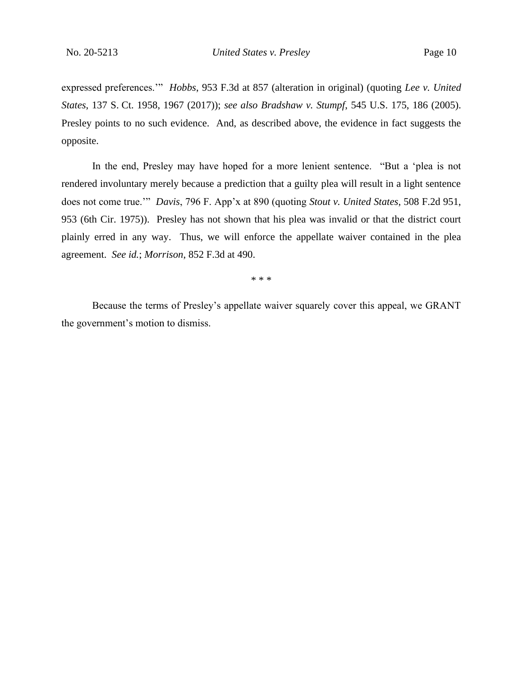expressed preferences.'" *Hobbs*, 953 F.3d at 857 (alteration in original) (quoting *Lee v. United States*, 137 S. Ct. 1958, 1967 (2017)); *see also Bradshaw v. Stumpf*, 545 U.S. 175, 186 (2005). Presley points to no such evidence. And, as described above, the evidence in fact suggests the opposite.

In the end, Presley may have hoped for a more lenient sentence. "But a 'plea is not rendered involuntary merely because a prediction that a guilty plea will result in a light sentence does not come true.'" *Davis*, 796 F. App'x at 890 (quoting *Stout v. United States*, 508 F.2d 951, 953 (6th Cir. 1975)). Presley has not shown that his plea was invalid or that the district court plainly erred in any way. Thus, we will enforce the appellate waiver contained in the plea agreement. *See id.*; *Morrison*, 852 F.3d at 490.

\* \* \*

Because the terms of Presley's appellate waiver squarely cover this appeal, we GRANT the government's motion to dismiss.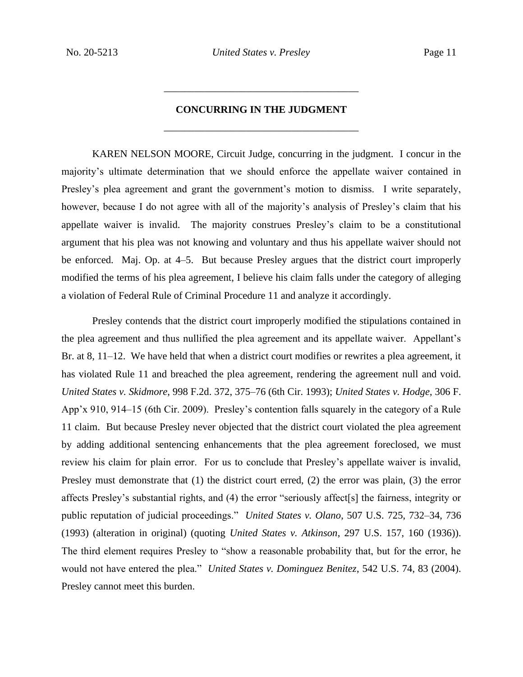## **CONCURRING IN THE JUDGMENT** \_\_\_\_\_\_\_\_\_\_\_\_\_\_\_\_\_\_\_\_\_\_\_\_\_\_\_\_\_\_\_\_\_\_\_\_\_\_

\_\_\_\_\_\_\_\_\_\_\_\_\_\_\_\_\_\_\_\_\_\_\_\_\_\_\_\_\_\_\_\_\_\_\_\_\_\_

KAREN NELSON MOORE, Circuit Judge, concurring in the judgment. I concur in the majority's ultimate determination that we should enforce the appellate waiver contained in Presley's plea agreement and grant the government's motion to dismiss. I write separately, however, because I do not agree with all of the majority's analysis of Presley's claim that his appellate waiver is invalid. The majority construes Presley's claim to be a constitutional argument that his plea was not knowing and voluntary and thus his appellate waiver should not be enforced. Maj. Op. at 4–5. But because Presley argues that the district court improperly modified the terms of his plea agreement, I believe his claim falls under the category of alleging a violation of Federal Rule of Criminal Procedure 11 and analyze it accordingly.

Presley contends that the district court improperly modified the stipulations contained in the plea agreement and thus nullified the plea agreement and its appellate waiver. Appellant's Br. at 8, 11–12. We have held that when a district court modifies or rewrites a plea agreement, it has violated Rule 11 and breached the plea agreement, rendering the agreement null and void. *United States v. Skidmore*, 998 F.2d. 372, 375–76 (6th Cir. 1993); *United States v. Hodge*, 306 F. App'x 910, 914–15 (6th Cir. 2009). Presley's contention falls squarely in the category of a Rule 11 claim. But because Presley never objected that the district court violated the plea agreement by adding additional sentencing enhancements that the plea agreement foreclosed, we must review his claim for plain error. For us to conclude that Presley's appellate waiver is invalid, Presley must demonstrate that (1) the district court erred, (2) the error was plain, (3) the error affects Presley's substantial rights, and (4) the error "seriously affect[s] the fairness, integrity or public reputation of judicial proceedings." *United States v. Olano*, 507 U.S. 725, 732–34, 736 (1993) (alteration in original) (quoting *United States v. Atkinson*, 297 U.S. 157, 160 (1936)). The third element requires Presley to "show a reasonable probability that, but for the error, he would not have entered the plea." *United States v. Dominguez Benitez*, 542 U.S. 74, 83 (2004). Presley cannot meet this burden.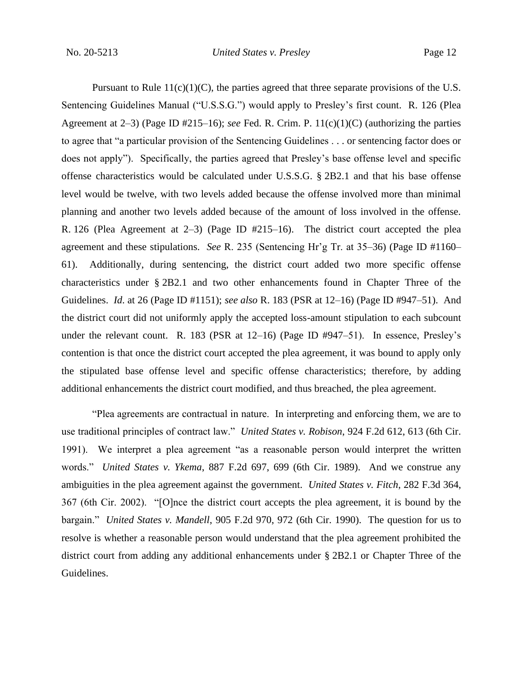Pursuant to Rule  $11(c)(1)(C)$ , the parties agreed that three separate provisions of the U.S. Sentencing Guidelines Manual ("U.S.S.G.") would apply to Presley's first count. R. 126 (Plea Agreement at 2–3) (Page ID #215–16); *see* Fed. R. Crim. P. 11(c)(1)(C) (authorizing the parties to agree that "a particular provision of the Sentencing Guidelines . . . or sentencing factor does or does not apply"). Specifically, the parties agreed that Presley's base offense level and specific offense characteristics would be calculated under U.S.S.G. § 2B2.1 and that his base offense level would be twelve, with two levels added because the offense involved more than minimal planning and another two levels added because of the amount of loss involved in the offense. R. 126 (Plea Agreement at 2–3) (Page ID #215–16). The district court accepted the plea agreement and these stipulations. *See* R. 235 (Sentencing Hr'g Tr. at 35–36) (Page ID #1160– 61). Additionally, during sentencing, the district court added two more specific offense characteristics under § 2B2.1 and two other enhancements found in Chapter Three of the Guidelines. *Id*. at 26 (Page ID #1151); *see also* R. 183 (PSR at 12–16) (Page ID #947–51). And the district court did not uniformly apply the accepted loss-amount stipulation to each subcount under the relevant count. R. 183 (PSR at 12–16) (Page ID #947–51). In essence, Presley's contention is that once the district court accepted the plea agreement, it was bound to apply only the stipulated base offense level and specific offense characteristics; therefore, by adding additional enhancements the district court modified, and thus breached, the plea agreement.

"Plea agreements are contractual in nature. In interpreting and enforcing them, we are to use traditional principles of contract law." *United States v. Robison*, 924 F.2d 612, 613 (6th Cir. 1991). We interpret a plea agreement "as a reasonable person would interpret the written words." *United States v. Ykema*, 887 F.2d 697, 699 (6th Cir. 1989). And we construe any ambiguities in the plea agreement against the government. *United States v. Fitch*, 282 F.3d 364, 367 (6th Cir. 2002). "[O]nce the district court accepts the plea agreement, it is bound by the bargain." *United States v. Mandell*, 905 F.2d 970, 972 (6th Cir. 1990). The question for us to resolve is whether a reasonable person would understand that the plea agreement prohibited the district court from adding any additional enhancements under § 2B2.1 or Chapter Three of the Guidelines.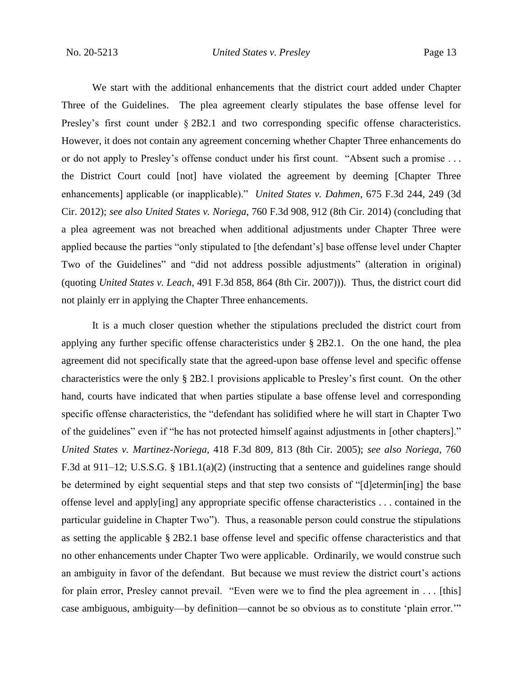We start with the additional enhancements that the district court added under Chapter Three of the Guidelines. The plea agreement clearly stipulates the base offense level for Presley's first count under  $\S 2B2.1$  and two corresponding specific offense characteristics. However, it does not contain any agreement concerning whether Chapter Three enhancements do or do not apply to Presley's offense conduct under his first count. "Absent such a promise . . . the District Court could [not] have violated the agreement by deeming [Chapter Three enhancements] applicable (or inapplicable)." *United States v. Dahmen*, 675 F.3d 244, 249 (3d Cir. 2012); *see also United States v. Noriega*, 760 F.3d 908, 912 (8th Cir. 2014) (concluding that a plea agreement was not breached when additional adjustments under Chapter Three were applied because the parties "only stipulated to [the defendant's] base offense level under Chapter Two of the Guidelines" and "did not address possible adjustments" (alteration in original) (quoting *United States v. Leach*, 491 F.3d 858, 864 (8th Cir. 2007))). Thus, the district court did not plainly err in applying the Chapter Three enhancements.

It is a much closer question whether the stipulations precluded the district court from applying any further specific offense characteristics under § 2B2.1. On the one hand, the plea agreement did not specifically state that the agreed-upon base offense level and specific offense characteristics were the only § 2B2.1 provisions applicable to Presley's first count. On the other hand, courts have indicated that when parties stipulate a base offense level and corresponding specific offense characteristics, the "defendant has solidified where he will start in Chapter Two of the guidelines" even if "he has not protected himself against adjustments in [other chapters]." *United States v. Martinez-Noriega*, 418 F.3d 809, 813 (8th Cir. 2005); *see also Noriega*, 760 F.3d at 911–12; U.S.S.G. § 1B1.1(a)(2) (instructing that a sentence and guidelines range should be determined by eight sequential steps and that step two consists of "[d]etermin[ing] the base offense level and apply[ing] any appropriate specific offense characteristics . . . contained in the particular guideline in Chapter Two"). Thus, a reasonable person could construe the stipulations as setting the applicable § 2B2.1 base offense level and specific offense characteristics and that no other enhancements under Chapter Two were applicable. Ordinarily, we would construe such an ambiguity in favor of the defendant. But because we must review the district court's actions for plain error, Presley cannot prevail. "Even were we to find the plea agreement in . . . [this] case ambiguous, ambiguity—by definition—cannot be so obvious as to constitute 'plain error.'"